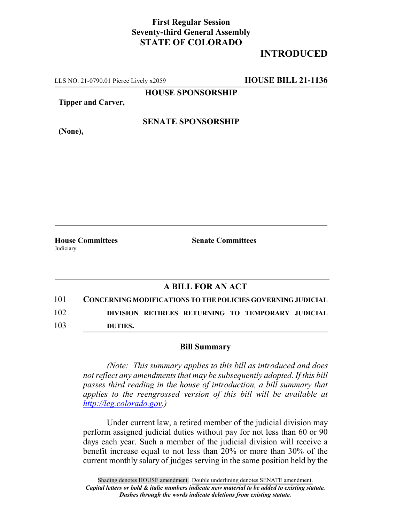## **First Regular Session Seventy-third General Assembly STATE OF COLORADO**

# **INTRODUCED**

LLS NO. 21-0790.01 Pierce Lively x2059 **HOUSE BILL 21-1136**

**HOUSE SPONSORSHIP**

**Tipper and Carver,**

#### **SENATE SPONSORSHIP**

**(None),**

**House Committees Senate Committees Judiciary** 

### **A BILL FOR AN ACT**

101 **CONCERNING MODIFICATIONS TO THE POLICIES GOVERNING JUDICIAL** 102 **DIVISION RETIREES RETURNING TO TEMPORARY JUDICIAL**

103 **DUTIES.**

#### **Bill Summary**

*(Note: This summary applies to this bill as introduced and does not reflect any amendments that may be subsequently adopted. If this bill passes third reading in the house of introduction, a bill summary that applies to the reengrossed version of this bill will be available at http://leg.colorado.gov.)*

Under current law, a retired member of the judicial division may perform assigned judicial duties without pay for not less than 60 or 90 days each year. Such a member of the judicial division will receive a benefit increase equal to not less than 20% or more than 30% of the current monthly salary of judges serving in the same position held by the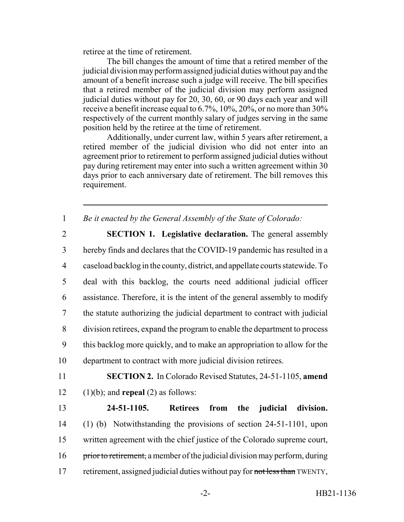retiree at the time of retirement.

The bill changes the amount of time that a retired member of the judicial division may perform assigned judicial duties without pay and the amount of a benefit increase such a judge will receive. The bill specifies that a retired member of the judicial division may perform assigned judicial duties without pay for 20, 30, 60, or 90 days each year and will receive a benefit increase equal to 6.7%, 10%, 20%, or no more than 30% respectively of the current monthly salary of judges serving in the same position held by the retiree at the time of retirement.

Additionally, under current law, within 5 years after retirement, a retired member of the judicial division who did not enter into an agreement prior to retirement to perform assigned judicial duties without pay during retirement may enter into such a written agreement within 30 days prior to each anniversary date of retirement. The bill removes this requirement.

1 *Be it enacted by the General Assembly of the State of Colorado:*

 **SECTION 1. Legislative declaration.** The general assembly hereby finds and declares that the COVID-19 pandemic has resulted in a caseload backlog in the county, district, and appellate courts statewide. To deal with this backlog, the courts need additional judicial officer assistance. Therefore, it is the intent of the general assembly to modify the statute authorizing the judicial department to contract with judicial division retirees, expand the program to enable the department to process this backlog more quickly, and to make an appropriation to allow for the department to contract with more judicial division retirees.

11 **SECTION 2.** In Colorado Revised Statutes, 24-51-1105, **amend** 12 (1)(b); and **repeal** (2) as follows:

13 **24-51-1105. Retirees from the judicial division.** 14 (1) (b) Notwithstanding the provisions of section 24-51-1101, upon 15 written agreement with the chief justice of the Colorado supreme court, 16 prior to retirement, a member of the judicial division may perform, during 17 retirement, assigned judicial duties without pay for not less than TWENTY,